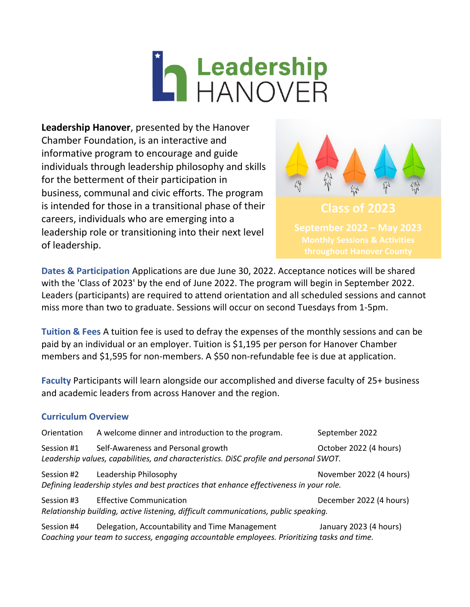# **The Leadership<br>THANOVER**

**Leadership Hanover**, presented by the Hanover Chamber Foundation, is an interactive and informative program to encourage and guide individuals through leadership philosophy and skills for the betterment of their participation in business, communal and civic efforts. The program is intended for those in a transitional phase of their careers, individuals who are emerging into a leadership role or transitioning into their next level of leadership.



**Dates & Participation** Applications are due June 30, 2022. Acceptance notices will be shared with the 'Class of 2023' by the end of June 2022. The program will begin in September 2022. Leaders (participants) are required to attend orientation and all scheduled sessions and cannot miss more than two to graduate. Sessions will occur on second Tuesdays from 1-5pm.

**Tuition & Fees** A tuition fee is used to defray the expenses of the monthly sessions and can be paid by an individual or an employer. Tuition is \$1,195 per person for Hanover Chamber members and \$1,595 for non-members. A \$50 non-refundable fee is due at application.

**Faculty** Participants will learn alongside our accomplished and diverse faculty of 25+ business and academic leaders from across Hanover and the region.

## **Curriculum Overview**

| Orientation | A welcome dinner and introduction to the program.                                                                                             | September 2022          |
|-------------|-----------------------------------------------------------------------------------------------------------------------------------------------|-------------------------|
| Session #1  | Self-Awareness and Personal growth<br>Leadership values, capabilities, and characteristics. DiSC profile and personal SWOT.                   | October 2022 (4 hours)  |
| Session #2  | Leadership Philosophy<br>Defining leadership styles and best practices that enhance effectiveness in your role.                               | November 2022 (4 hours) |
| Session #3  | <b>Effective Communication</b><br>Relationship building, active listening, difficult communications, public speaking.                         | December 2022 (4 hours) |
| Session #4  | Delegation, Accountability and Time Management<br>Coaching your team to success, engaging accountable employees. Prioritizing tasks and time. | January 2023 (4 hours)  |